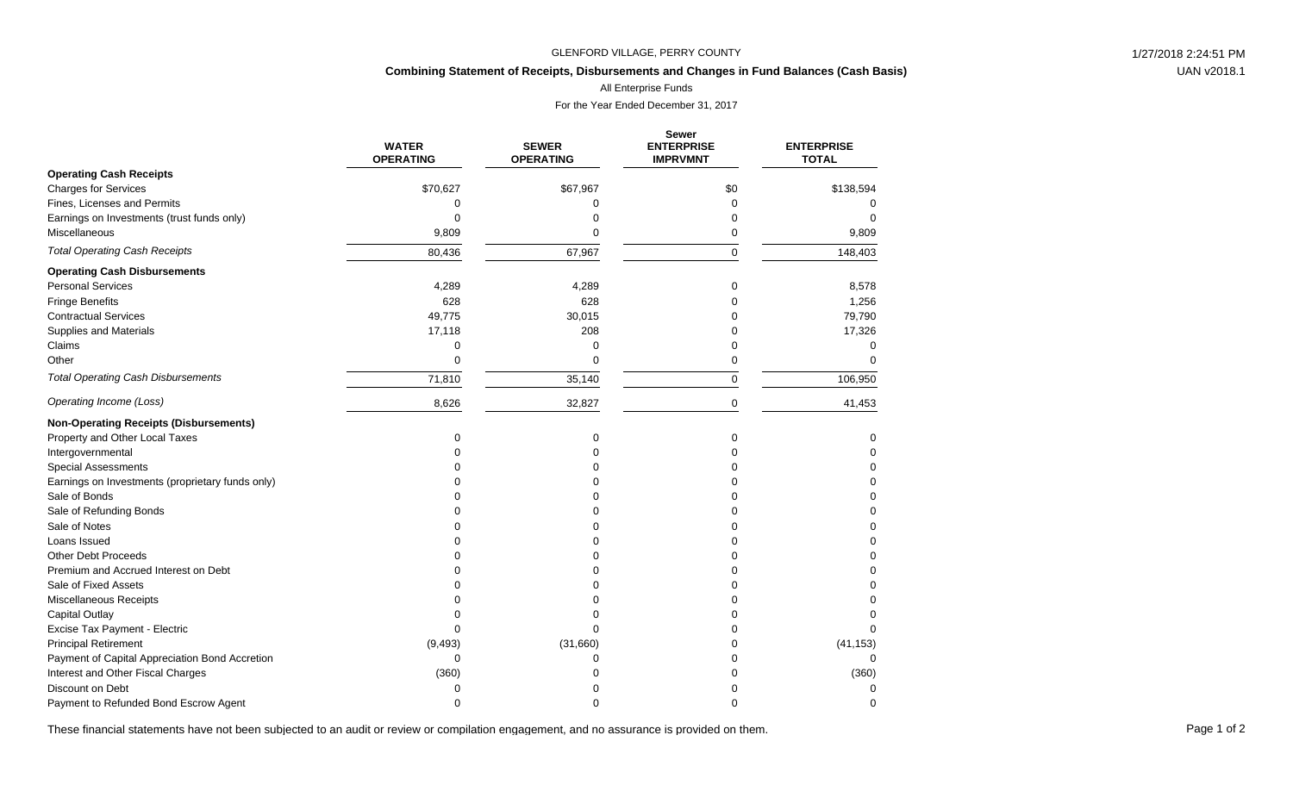## GLENFORD VILLAGE, PERRY COUNTY **1/27/2018 2:24:51 PM**

## **Combining Statement of Receipts, Disbursements and Changes in Fund Balances (Cash Basis)**

All Enterprise Funds

For the Year Ended December 31, 2017

|                                                  | <b>WATER</b><br><b>OPERATING</b> | <b>SEWER</b><br><b>OPERATING</b> | <b>Sewer</b><br><b>ENTERPRISE</b><br><b>IMPRVMNT</b> | <b>ENTERPRISE</b><br><b>TOTAL</b> |
|--------------------------------------------------|----------------------------------|----------------------------------|------------------------------------------------------|-----------------------------------|
| <b>Operating Cash Receipts</b>                   |                                  |                                  |                                                      |                                   |
| <b>Charges for Services</b>                      | \$70,627                         | \$67,967                         | \$0                                                  | \$138,594                         |
| Fines, Licenses and Permits                      | 0                                | 0                                | 0                                                    | 0                                 |
| Earnings on Investments (trust funds only)       | 0                                | 0                                | 0                                                    | $\Omega$                          |
| Miscellaneous                                    | 9,809                            | $\Omega$                         | 0                                                    | 9,809                             |
| <b>Total Operating Cash Receipts</b>             | 80,436                           | 67,967                           | 0                                                    | 148,403                           |
| <b>Operating Cash Disbursements</b>              |                                  |                                  |                                                      |                                   |
| <b>Personal Services</b>                         | 4,289                            | 4,289                            | 0                                                    | 8,578                             |
| <b>Fringe Benefits</b>                           | 628                              | 628                              | 0                                                    | 1,256                             |
| <b>Contractual Services</b>                      | 49,775                           | 30,015                           | 0                                                    | 79,790                            |
| <b>Supplies and Materials</b>                    | 17,118                           | 208                              | 0                                                    | 17,326                            |
| Claims                                           | 0                                | 0                                | 0                                                    | $\Omega$                          |
| Other                                            | 0                                | $\Omega$                         | 0                                                    | $\Omega$                          |
| <b>Total Operating Cash Disbursements</b>        | 71,810                           | 35,140                           | $\Omega$                                             | 106,950                           |
| Operating Income (Loss)                          | 8,626                            | 32,827                           | 0                                                    | 41,453                            |
| <b>Non-Operating Receipts (Disbursements)</b>    |                                  |                                  |                                                      |                                   |
| Property and Other Local Taxes                   | 0                                | $\mathbf 0$                      | 0                                                    | 0                                 |
| Intergovernmental                                | ሰ                                | $\mathbf 0$                      | 0                                                    | 0                                 |
| <b>Special Assessments</b>                       |                                  | $\Omega$                         | 0                                                    | 0                                 |
| Earnings on Investments (proprietary funds only) |                                  | $\Omega$                         | 0                                                    | 0                                 |
| Sale of Bonds                                    |                                  | $\Omega$                         | ∩                                                    | $\Omega$                          |
| Sale of Refunding Bonds                          |                                  | $\Omega$                         | 0                                                    | $\Omega$                          |
| Sale of Notes                                    |                                  | 0                                | O                                                    | 0                                 |
| Loans Issued                                     |                                  | 0                                | 0                                                    | 0                                 |
| <b>Other Debt Proceeds</b>                       |                                  | $\Omega$                         | ი                                                    | 0                                 |
| Premium and Accrued Interest on Debt             |                                  | $\Omega$                         | ი                                                    | $\mathbf 0$                       |
| Sale of Fixed Assets                             |                                  | $\Omega$                         | ი                                                    | 0                                 |
| Miscellaneous Receipts                           |                                  | $\Omega$                         | 0                                                    | 0                                 |
| <b>Capital Outlay</b>                            |                                  | $\Omega$                         | 0                                                    | $\Omega$                          |
| Excise Tax Payment - Electric                    | ი                                | $\Omega$                         | 0                                                    | $\Omega$                          |
| <b>Principal Retirement</b>                      | (9, 493)                         | (31,660)                         | 0                                                    | (41, 153)                         |
| Payment of Capital Appreciation Bond Accretion   | 0                                | 0                                | 0                                                    |                                   |
| Interest and Other Fiscal Charges                | (360)                            | 0                                | ი                                                    | (360)                             |
| Discount on Debt                                 | O                                | U                                |                                                      | $\Omega$                          |
| Payment to Refunded Bond Escrow Agent            | $\Omega$                         | $\Omega$                         | 0                                                    | $\Omega$                          |

These financial statements have not been subjected to an audit or review or compilation engagement, and no assurance is provided on them.